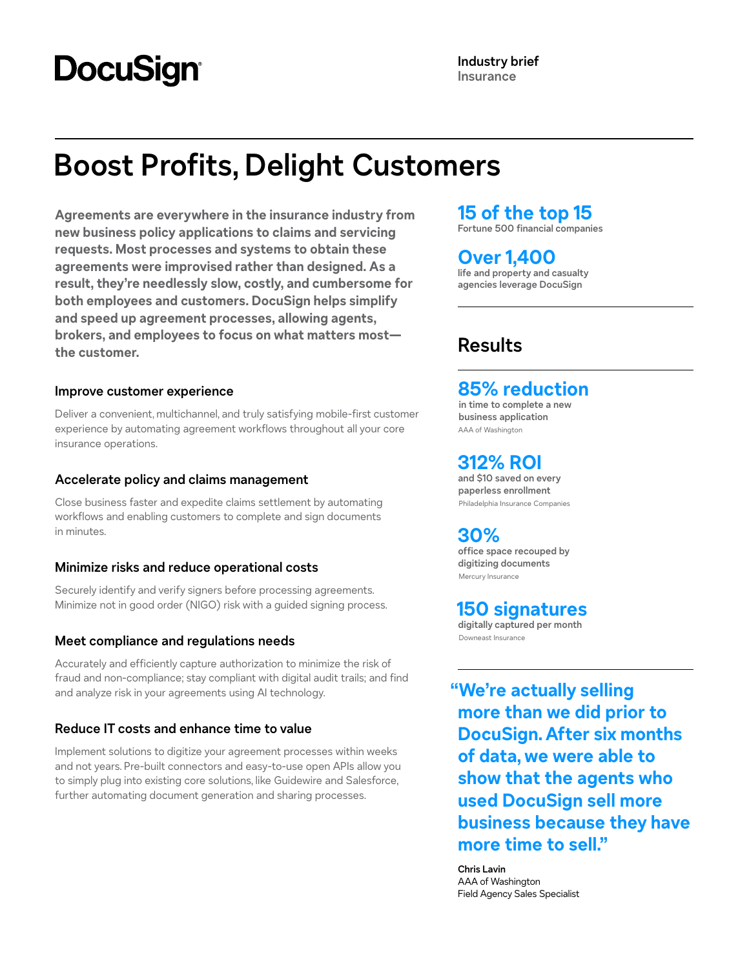# **DocuSign**

# **Boost Profits, Delight Customers**

**Agreements are everywhere in the insurance industry from new business policy applications to claims and servicing requests. Most processes and systems to obtain these agreements were improvised rather than designed. As a result, they're needlessly slow, costly, and cumbersome for both employees and customers. DocuSign helps simplify and speed up agreement processes, allowing agents, brokers, and employees to focus on what matters most the customer.**

## **Improve customer experience**

Deliver a convenient, multichannel, and truly satisfying mobile-first customer experience by automating agreement workflows throughout all your core insurance operations.

## **Accelerate policy and claims management**

Close business faster and expedite claims settlement by automating workflows and enabling customers to complete and sign documents in minutes.

## **Minimize risks and reduce operational costs**

Securely identify and verify signers before processing agreements. Minimize not in good order (NIGO) risk with a guided signing process.

## **Meet compliance and regulations needs**

Accurately and efficiently capture authorization to minimize the risk of fraud and non-compliance; stay compliant with digital audit trails; and find and analyze risk in your agreements using AI technology.

## **Reduce IT costs and enhance time to value**

Implement solutions to digitize your agreement processes within weeks and not years. Pre-built connectors and easy-to-use open APIs allow you to simply plug into existing core solutions, like Guidewire and Salesforce, further automating document generation and sharing processes.

# **15 of the top 15**

**Fortune 500 financial companies**

# **Over 1,400**

**life and property and casualty agencies leverage DocuSign**

# **Results**

# **85% reduction**

**in time to complete a new business application** AAA of Washington

## **312% ROI**

**and \$10 saved on every paperless enrollment** Philadelphia Insurance Companies

# **30%**

**office space recouped by digitizing documents** Mercury Insurance

## **150 signatures**

**digitally captured per month** Downeast Insurance

**"We're actually selling more than we did prior to DocuSign. After six months of data, we were able to show that the agents who used DocuSign sell more business because they have more time to sell."**

**Chris Lavin** AAA of Washington Field Agency Sales Specialist